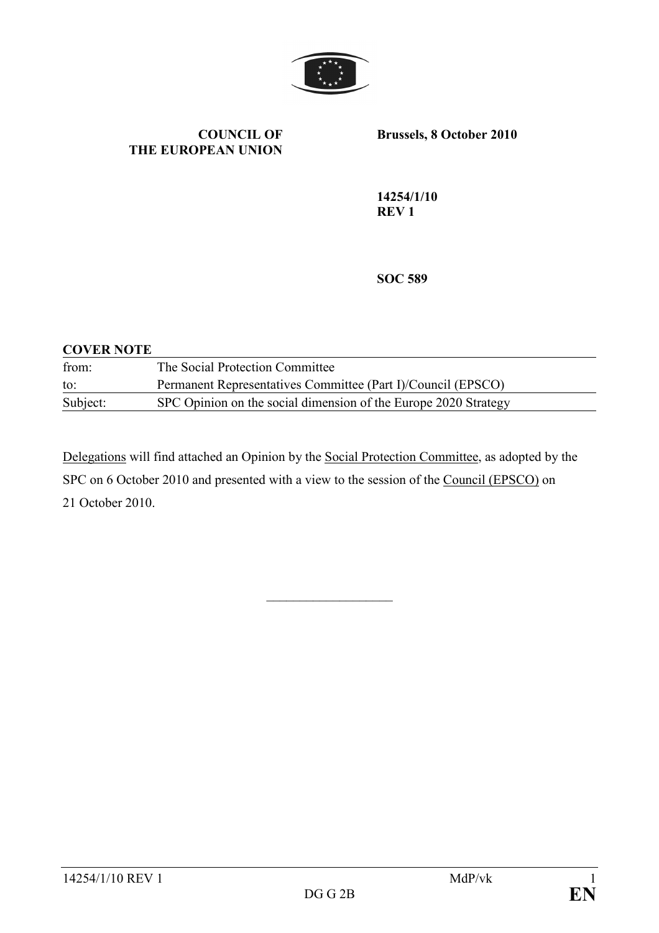

#### COUNCIL OF THE EUROPEAN UNION

Brussels, 8 October 2010

14254/1/10 REV 1

SOC 589

### COVER NOTE from: The Social Protection Committee to: Permanent Representatives Committee (Part I)/Council (EPSCO) Subject: SPC Opinion on the social dimension of the Europe 2020 Strategy

Delegations will find attached an Opinion by the Social Protection Committee, as adopted by the SPC on 6 October 2010 and presented with a view to the session of the Council (EPSCO) on 21 October 2010.

 $\overline{\phantom{a}}$  , where  $\overline{\phantom{a}}$  , where  $\overline{\phantom{a}}$  , where  $\overline{\phantom{a}}$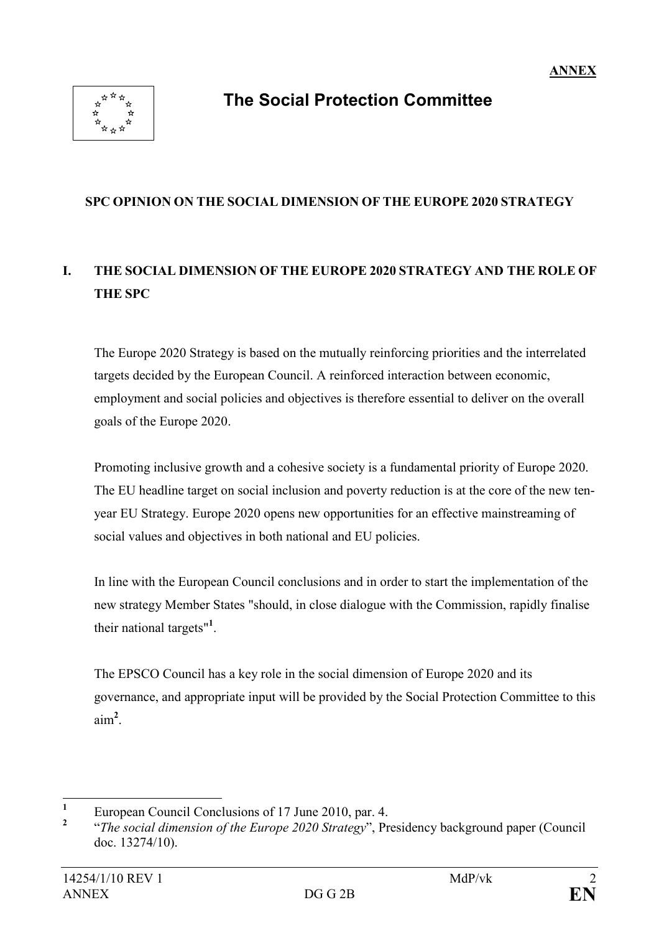

# The Social Protection Committee

#### SPC OPINION ON THE SOCIAL DIMENSION OF THE EUROPE 2020 STRATEGY

# I. THE SOCIAL DIMENSION OF THE EUROPE 2020 STRATEGY AND THE ROLE OF THE SPC

The Europe 2020 Strategy is based on the mutually reinforcing priorities and the interrelated targets decided by the European Council. A reinforced interaction between economic, employment and social policies and objectives is therefore essential to deliver on the overall goals of the Europe 2020.

Promoting inclusive growth and a cohesive society is a fundamental priority of Europe 2020. The EU headline target on social inclusion and poverty reduction is at the core of the new tenyear EU Strategy. Europe 2020 opens new opportunities for an effective mainstreaming of social values and objectives in both national and EU policies.

In line with the European Council conclusions and in order to start the implementation of the new strategy Member States "should, in close dialogue with the Commission, rapidly finalise their national targets"<sup>1</sup>.

The EPSCO Council has a key role in the social dimension of Europe 2020 and its governance, and appropriate input will be provided by the Social Protection Committee to this  $\text{aim}^2$ .

 $\frac{1}{1}$ European Council Conclusions of 17 June 2010, par. 4.

 $\overline{\phantom{a}}$ "The social dimension of the Europe 2020 Strategy", Presidency background paper (Council doc. 13274/10).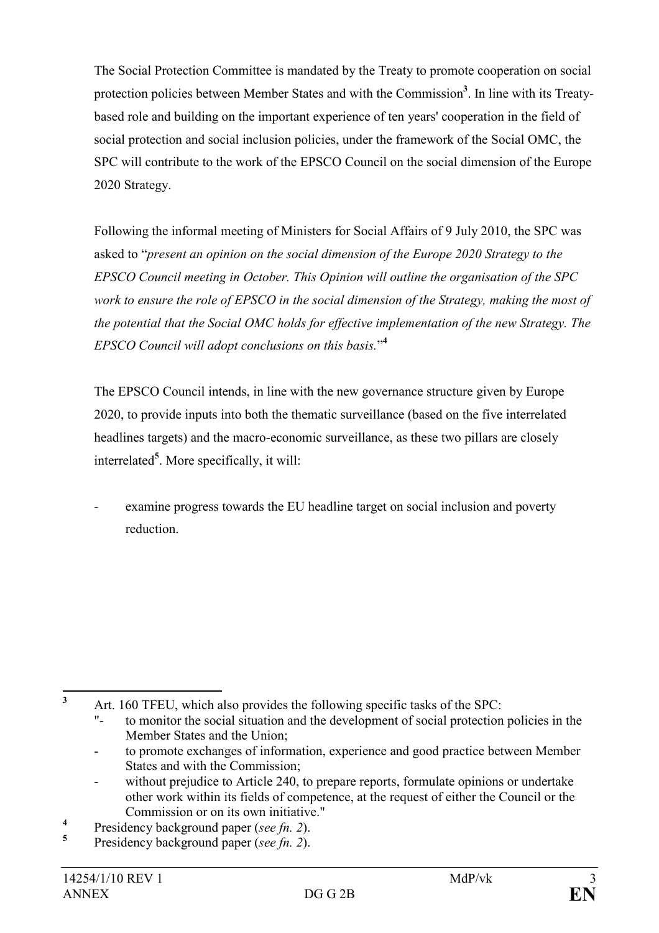The Social Protection Committee is mandated by the Treaty to promote cooperation on social protection policies between Member States and with the Commission<sup>3</sup>. In line with its Treatybased role and building on the important experience of ten years' cooperation in the field of social protection and social inclusion policies, under the framework of the Social OMC, the SPC will contribute to the work of the EPSCO Council on the social dimension of the Europe 2020 Strategy.

Following the informal meeting of Ministers for Social Affairs of 9 July 2010, the SPC was asked to "present an opinion on the social dimension of the Europe 2020 Strategy to the EPSCO Council meeting in October. This Opinion will outline the organisation of the SPC work to ensure the role of EPSCO in the social dimension of the Strategy, making the most of the potential that the Social OMC holds for effective implementation of the new Strategy. The EPSCO Council will adopt conclusions on this basis."<sup>4</sup>

The EPSCO Council intends, in line with the new governance structure given by Europe 2020, to provide inputs into both the thematic surveillance (based on the five interrelated headlines targets) and the macro-economic surveillance, as these two pillars are closely interrelated<sup>5</sup>. More specifically, it will:

examine progress towards the EU headline target on social inclusion and poverty reduction.

to promote exchanges of information, experience and good practice between Member States and with the Commission;

5 Presidency background paper (see fn. 2).

 $\frac{1}{3}$ 

Art. 160 TFEU, which also provides the following specific tasks of the SPC:

to monitor the social situation and the development of social protection policies in the Member States and the Union;

without prejudice to Article 240, to prepare reports, formulate opinions or undertake other work within its fields of competence, at the request of either the Council or the Commission or on its own initiative."

<sup>4</sup> Presidency background paper (see fn. 2).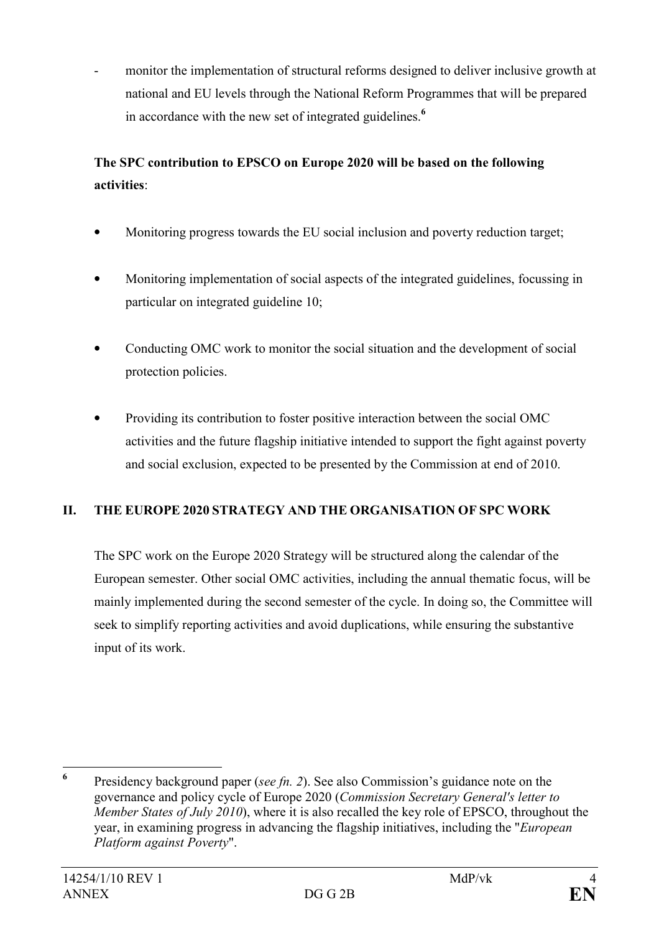monitor the implementation of structural reforms designed to deliver inclusive growth at national and EU levels through the National Reform Programmes that will be prepared in accordance with the new set of integrated guidelines.<sup>6</sup>

# The SPC contribution to EPSCO on Europe 2020 will be based on the following activities:

- Monitoring progress towards the EU social inclusion and poverty reduction target;
- Monitoring implementation of social aspects of the integrated guidelines, focussing in particular on integrated guideline 10;
- Conducting OMC work to monitor the social situation and the development of social protection policies.
- Providing its contribution to foster positive interaction between the social OMC activities and the future flagship initiative intended to support the fight against poverty and social exclusion, expected to be presented by the Commission at end of 2010.

### II. THE EUROPE 2020 STRATEGY AND THE ORGANISATION OF SPC WORK

The SPC work on the Europe 2020 Strategy will be structured along the calendar of the European semester. Other social OMC activities, including the annual thematic focus, will be mainly implemented during the second semester of the cycle. In doing so, the Committee will seek to simplify reporting activities and avoid duplications, while ensuring the substantive input of its work.

 6 Presidency background paper (see fn. 2). See also Commission's guidance note on the governance and policy cycle of Europe 2020 (Commission Secretary General's letter to Member States of July 2010), where it is also recalled the key role of EPSCO, throughout the year, in examining progress in advancing the flagship initiatives, including the "European Platform against Poverty".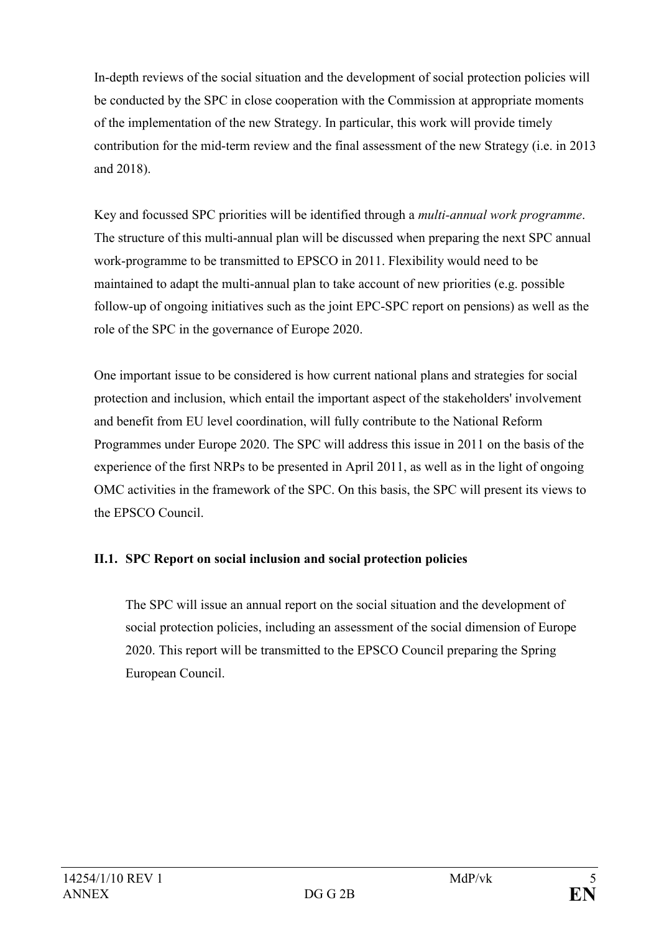In-depth reviews of the social situation and the development of social protection policies will be conducted by the SPC in close cooperation with the Commission at appropriate moments of the implementation of the new Strategy. In particular, this work will provide timely contribution for the mid-term review and the final assessment of the new Strategy (i.e. in 2013 and 2018).

Key and focussed SPC priorities will be identified through a multi-annual work programme. The structure of this multi-annual plan will be discussed when preparing the next SPC annual work-programme to be transmitted to EPSCO in 2011. Flexibility would need to be maintained to adapt the multi-annual plan to take account of new priorities (e.g. possible follow-up of ongoing initiatives such as the joint EPC-SPC report on pensions) as well as the role of the SPC in the governance of Europe 2020.

One important issue to be considered is how current national plans and strategies for social protection and inclusion, which entail the important aspect of the stakeholders' involvement and benefit from EU level coordination, will fully contribute to the National Reform Programmes under Europe 2020. The SPC will address this issue in 2011 on the basis of the experience of the first NRPs to be presented in April 2011, as well as in the light of ongoing OMC activities in the framework of the SPC. On this basis, the SPC will present its views to the EPSCO Council.

#### II.1. SPC Report on social inclusion and social protection policies

The SPC will issue an annual report on the social situation and the development of social protection policies, including an assessment of the social dimension of Europe 2020. This report will be transmitted to the EPSCO Council preparing the Spring European Council.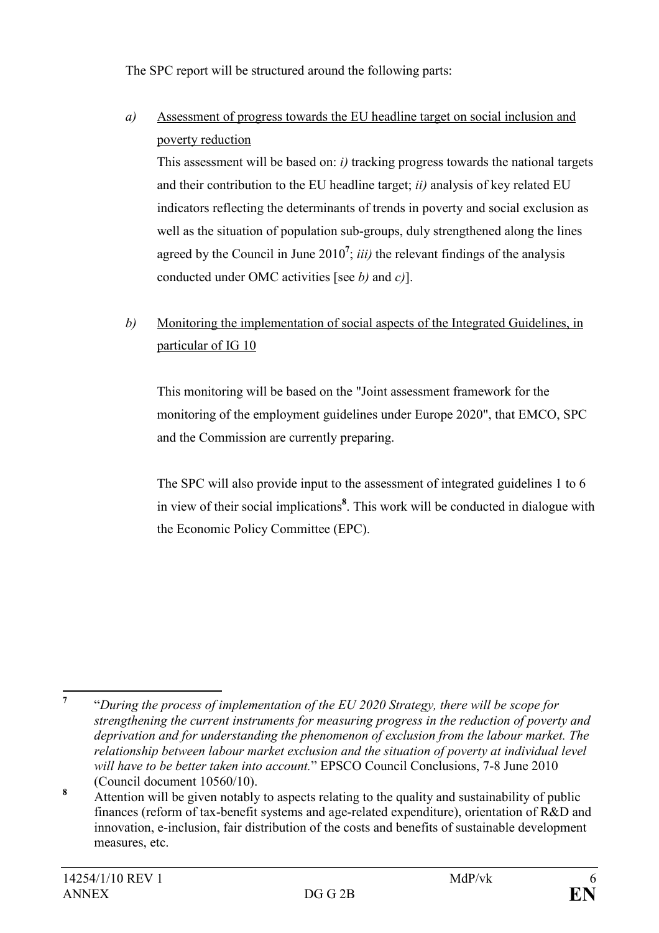The SPC report will be structured around the following parts:

a) Assessment of progress towards the EU headline target on social inclusion and poverty reduction

This assessment will be based on: i) tracking progress towards the national targets and their contribution to the EU headline target;  $ii)$  analysis of key related EU indicators reflecting the determinants of trends in poverty and social exclusion as well as the situation of population sub-groups, duly strengthened along the lines agreed by the Council in June 2010<sup>7</sup>; *iii*) the relevant findings of the analysis conducted under OMC activities [see  $b$ ) and  $c$ ].

## b) Monitoring the implementation of social aspects of the Integrated Guidelines, in particular of IG 10

This monitoring will be based on the "Joint assessment framework for the monitoring of the employment guidelines under Europe 2020", that EMCO, SPC and the Commission are currently preparing.

The SPC will also provide input to the assessment of integrated guidelines 1 to 6 in view of their social implications<sup>8</sup>. This work will be conducted in dialogue with the Economic Policy Committee (EPC).

 7 "During the process of implementation of the EU 2020 Strategy, there will be scope for strengthening the current instruments for measuring progress in the reduction of poverty and deprivation and for understanding the phenomenon of exclusion from the labour market. The relationship between labour market exclusion and the situation of poverty at individual level will have to be better taken into account." EPSCO Council Conclusions, 7-8 June 2010 (Council document 10560/10).

<sup>8</sup> Attention will be given notably to aspects relating to the quality and sustainability of public finances (reform of tax-benefit systems and age-related expenditure), orientation of R&D and innovation, e-inclusion, fair distribution of the costs and benefits of sustainable development measures, etc.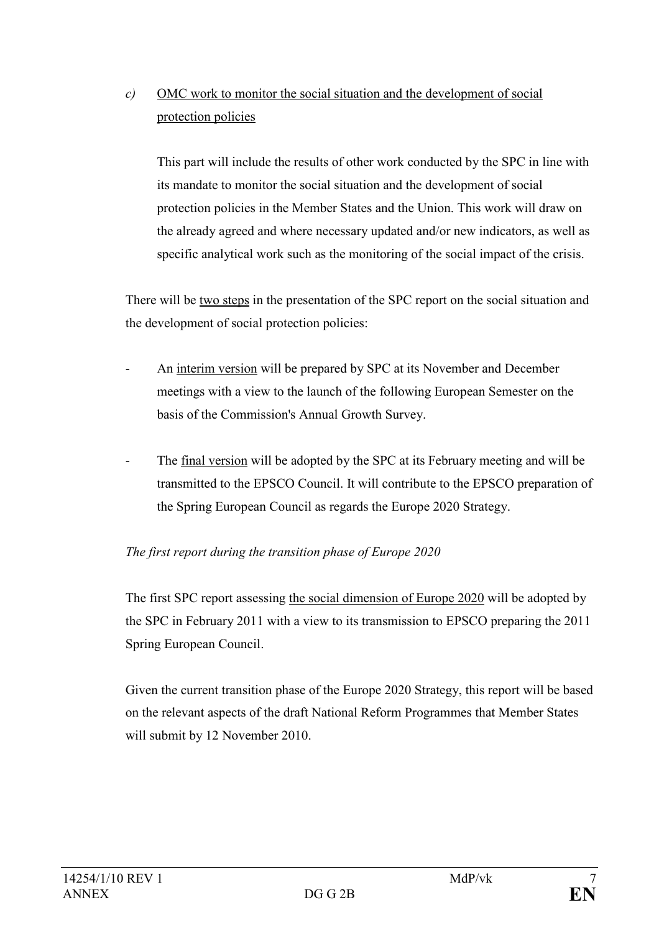# $c)$  OMC work to monitor the social situation and the development of social protection policies

This part will include the results of other work conducted by the SPC in line with its mandate to monitor the social situation and the development of social protection policies in the Member States and the Union. This work will draw on the already agreed and where necessary updated and/or new indicators, as well as specific analytical work such as the monitoring of the social impact of the crisis.

There will be two steps in the presentation of the SPC report on the social situation and the development of social protection policies:

- An interim version will be prepared by SPC at its November and December meetings with a view to the launch of the following European Semester on the basis of the Commission's Annual Growth Survey.
- The final version will be adopted by the SPC at its February meeting and will be transmitted to the EPSCO Council. It will contribute to the EPSCO preparation of the Spring European Council as regards the Europe 2020 Strategy.

### The first report during the transition phase of Europe 2020

The first SPC report assessing the social dimension of Europe 2020 will be adopted by the SPC in February 2011 with a view to its transmission to EPSCO preparing the 2011 Spring European Council.

Given the current transition phase of the Europe 2020 Strategy, this report will be based on the relevant aspects of the draft National Reform Programmes that Member States will submit by 12 November 2010.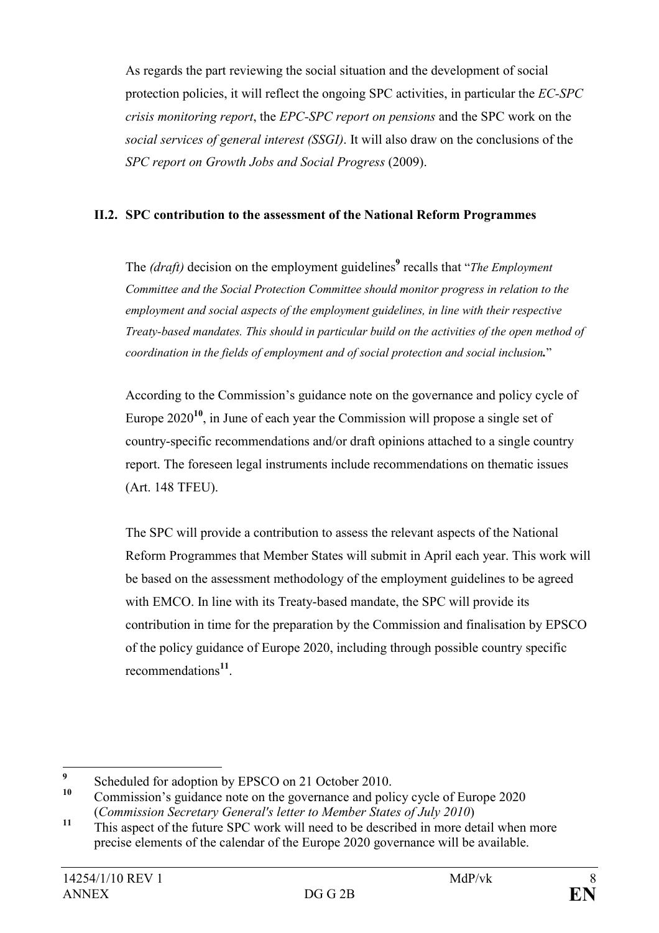As regards the part reviewing the social situation and the development of social protection policies, it will reflect the ongoing SPC activities, in particular the EC-SPC crisis monitoring report, the EPC-SPC report on pensions and the SPC work on the social services of general interest (SSGI). It will also draw on the conclusions of the SPC report on Growth Jobs and Social Progress (2009).

#### II.2. SPC contribution to the assessment of the National Reform Programmes

The  $(draf)$  decision on the employment guidelines<sup>9</sup> recalls that "*The Employment* Committee and the Social Protection Committee should monitor progress in relation to the employment and social aspects of the employment guidelines, in line with their respective Treaty-based mandates. This should in particular build on the activities of the open method of coordination in the fields of employment and of social protection and social inclusion."

According to the Commission's guidance note on the governance and policy cycle of Europe  $2020^{10}$ , in June of each year the Commission will propose a single set of country-specific recommendations and/or draft opinions attached to a single country report. The foreseen legal instruments include recommendations on thematic issues (Art. 148 TFEU).

The SPC will provide a contribution to assess the relevant aspects of the National Reform Programmes that Member States will submit in April each year. This work will be based on the assessment methodology of the employment guidelines to be agreed with EMCO. In line with its Treaty-based mandate, the SPC will provide its contribution in time for the preparation by the Commission and finalisation by EPSCO of the policy guidance of Europe 2020, including through possible country specific recommendations<sup>11</sup>.

<sup>—&</sup>lt;br>9  $\frac{9}{10}$  Scheduled for adoption by EPSCO on 21 October 2010.

<sup>10</sup> Commission's guidance note on the governance and policy cycle of Europe 2020 (Commission Secretary General's letter to Member States of July 2010)

<sup>&</sup>lt;sup>11</sup> This aspect of the future SPC work will need to be described in more detail when more precise elements of the calendar of the Europe 2020 governance will be available.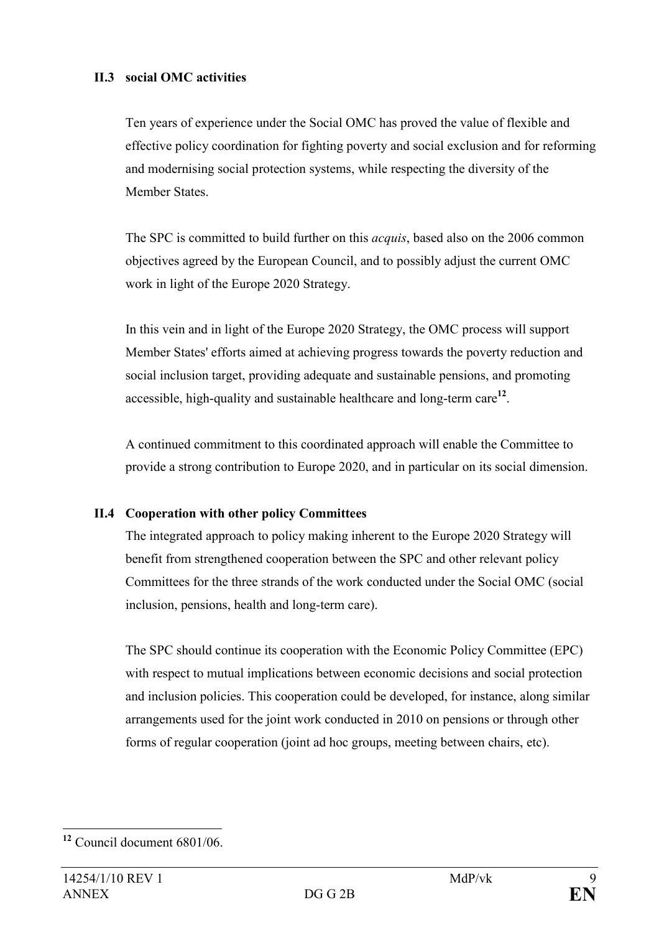#### II.3 social OMC activities

Ten years of experience under the Social OMC has proved the value of flexible and effective policy coordination for fighting poverty and social exclusion and for reforming and modernising social protection systems, while respecting the diversity of the Member States.

The SPC is committed to build further on this *acquis*, based also on the 2006 common objectives agreed by the European Council, and to possibly adjust the current OMC work in light of the Europe 2020 Strategy.

In this vein and in light of the Europe 2020 Strategy, the OMC process will support Member States' efforts aimed at achieving progress towards the poverty reduction and social inclusion target, providing adequate and sustainable pensions, and promoting accessible, high-quality and sustainable healthcare and long-term care $^{12}$ .

A continued commitment to this coordinated approach will enable the Committee to provide a strong contribution to Europe 2020, and in particular on its social dimension.

#### II.4 Cooperation with other policy Committees

The integrated approach to policy making inherent to the Europe 2020 Strategy will benefit from strengthened cooperation between the SPC and other relevant policy Committees for the three strands of the work conducted under the Social OMC (social inclusion, pensions, health and long-term care).

The SPC should continue its cooperation with the Economic Policy Committee (EPC) with respect to mutual implications between economic decisions and social protection and inclusion policies. This cooperation could be developed, for instance, along similar arrangements used for the joint work conducted in 2010 on pensions or through other forms of regular cooperation (joint ad hoc groups, meeting between chairs, etc).

 $\overline{a}$  $12$  Council document 6801/06.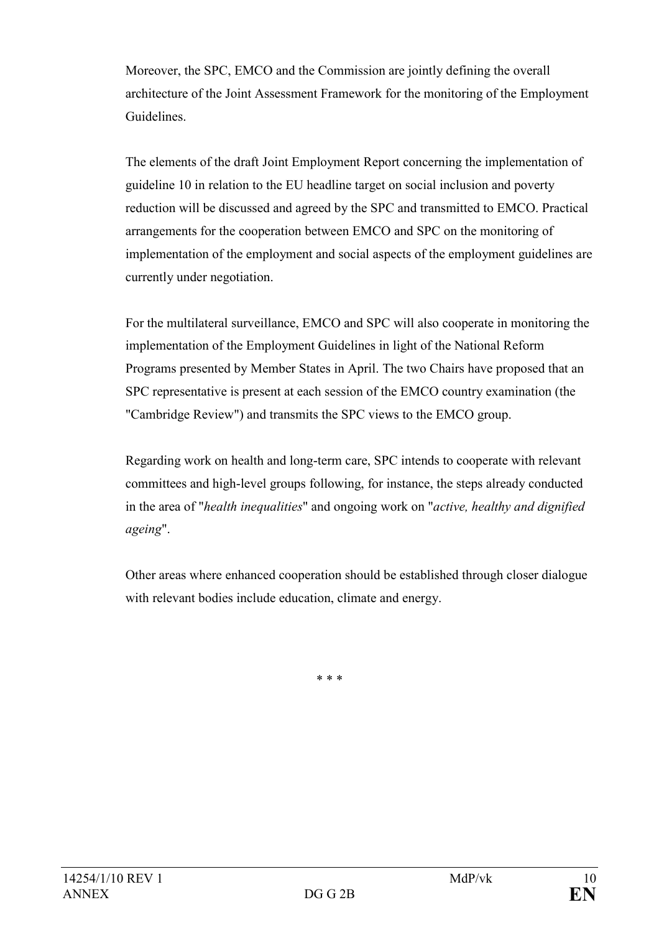Moreover, the SPC, EMCO and the Commission are jointly defining the overall architecture of the Joint Assessment Framework for the monitoring of the Employment Guidelines.

The elements of the draft Joint Employment Report concerning the implementation of guideline 10 in relation to the EU headline target on social inclusion and poverty reduction will be discussed and agreed by the SPC and transmitted to EMCO. Practical arrangements for the cooperation between EMCO and SPC on the monitoring of implementation of the employment and social aspects of the employment guidelines are currently under negotiation.

For the multilateral surveillance, EMCO and SPC will also cooperate in monitoring the implementation of the Employment Guidelines in light of the National Reform Programs presented by Member States in April. The two Chairs have proposed that an SPC representative is present at each session of the EMCO country examination (the "Cambridge Review") and transmits the SPC views to the EMCO group.

Regarding work on health and long-term care, SPC intends to cooperate with relevant committees and high-level groups following, for instance, the steps already conducted in the area of "health inequalities" and ongoing work on "active, healthy and dignified ageing".

Other areas where enhanced cooperation should be established through closer dialogue with relevant bodies include education, climate and energy.

\* \* \*